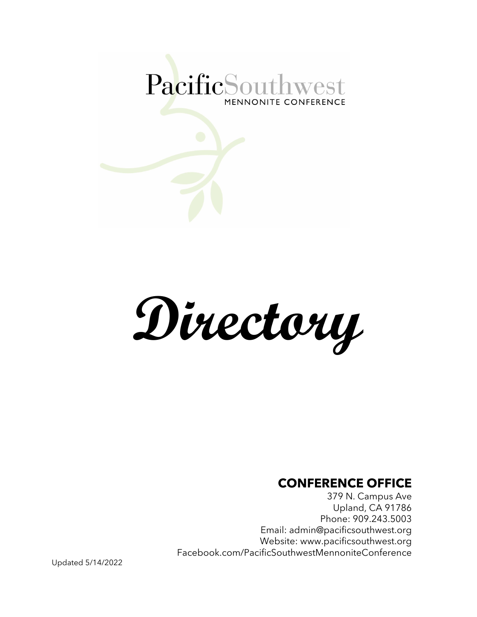

**Directory**

#### **CONFERENCE OFFICE**

379 N. Campus Ave Upland, CA 91786 Phone: 909.243.5003 Email: admin@pacificsouthwest.org Website: www.pacificsouthwest.org Facebook.com/PacificSouthwestMennoniteConference

Updated 5/14/2022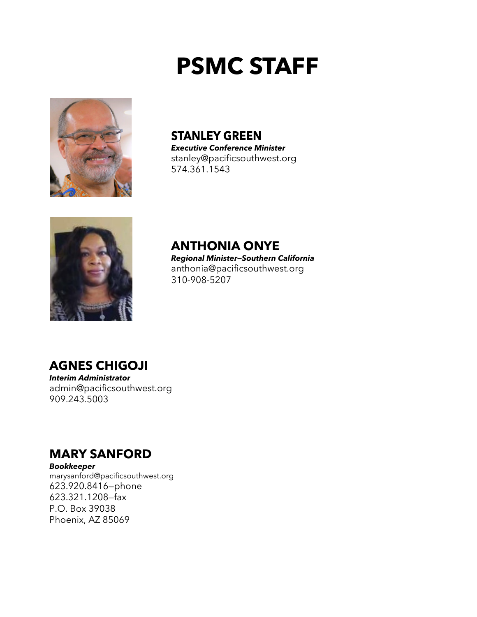# **PSMC STAFF**



**STANLEY GREEN** *Executive Conference Minister*

stanley@pacificsouthwest.org 574.361.1543



**ANTHONIA ONYE** *Regional Minister—Southern California* anthonia@pacificsouthwest.org 310-908-5207

#### **AGNES CHIGOJI**

*Interim Administrator* admin@pacificsouthwest.org 909.243.5003

#### **MARY SANFORD**

*Bookkeeper*  marysanford@pacificsouthwest.org 623.920.8416—phone 623.321.1208—fax P.O. Box 39038 Phoenix, AZ 85069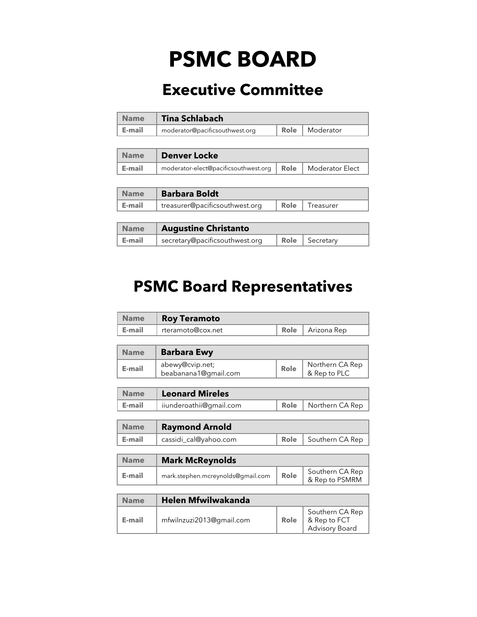## **PSMC BOARD**

## **Executive Committee**

| <b>Name</b> | <b>Tina Schlabach</b>          |  |                         |  |
|-------------|--------------------------------|--|-------------------------|--|
| E-mail      | moderator@pacificsouthwest.org |  | <b>Role</b>   Moderator |  |

| <b>Name</b> | <b>Denver Locke</b>                                           |  |  |
|-------------|---------------------------------------------------------------|--|--|
| E-mail      | moderator-elect@pacificsouthwest.org   Role   Moderator Elect |  |  |

| <b>Name</b> | <b>Barbara Boldt</b>           |  |                  |
|-------------|--------------------------------|--|------------------|
| E-mail      | treasurer@pacificsouthwest.org |  | Role   Treasurer |

| Name   | <b>Augustine Christanto</b>    |  |                  |
|--------|--------------------------------|--|------------------|
| E-mail | secretary@pacificsouthwest.org |  | Role   Secretary |

### **PSMC Board Representatives**

| <b>Name</b> | <b>Roy Teramoto</b>                     |      |                                                   |  |  |  |
|-------------|-----------------------------------------|------|---------------------------------------------------|--|--|--|
| E-mail      | rteramoto@cox.net                       | Role | Arizona Rep                                       |  |  |  |
|             |                                         |      |                                                   |  |  |  |
| <b>Name</b> | <b>Barbara Ewy</b>                      |      |                                                   |  |  |  |
| E-mail      | abewy@cvip.net;<br>beabanana1@gmail.com | Role | Northern CA Rep<br>& Rep to PLC                   |  |  |  |
|             |                                         |      |                                                   |  |  |  |
| <b>Name</b> | <b>Leonard Mireles</b>                  |      |                                                   |  |  |  |
| E-mail      | iiunderoathii@gmail.com                 | Role | Northern CA Rep                                   |  |  |  |
|             |                                         |      |                                                   |  |  |  |
| <b>Name</b> | <b>Raymond Arnold</b>                   |      |                                                   |  |  |  |
| E-mail      | cassidi_cal@yahoo.com                   | Role | Southern CA Rep                                   |  |  |  |
|             |                                         |      |                                                   |  |  |  |
| <b>Name</b> | <b>Mark McReynolds</b>                  |      |                                                   |  |  |  |
| E-mail      | mark.stephen.mcreynolds@gmail.com       | Role | Southern CA Rep<br>& Rep to PSMRM                 |  |  |  |
|             |                                         |      |                                                   |  |  |  |
| <b>Name</b> | <b>Helen Mfwilwakanda</b>               |      |                                                   |  |  |  |
| E-mail      | mfwilnzuzi2013@gmail.com                | Role | Southern CA Rep<br>& Rep to FCT<br>Advisory Board |  |  |  |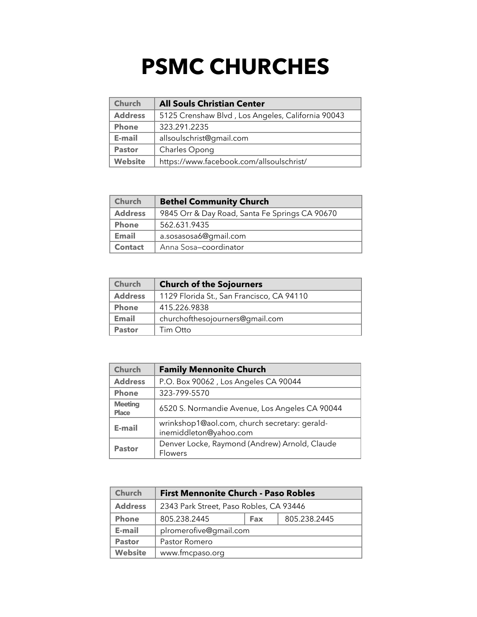## **PSMC CHURCHES**

| <b>Church</b>                                              | <b>All Souls Christian Center</b>                 |
|------------------------------------------------------------|---------------------------------------------------|
| <b>Address</b>                                             | 5125 Crenshaw Blvd, Los Angeles, California 90043 |
| <b>Phone</b>                                               | 323.291.2235                                      |
| E-mail                                                     | allsoulschrist@gmail.com                          |
| <b>Pastor</b>                                              | Charles Opong                                     |
| <b>Website</b><br>https://www.facebook.com/allsoulschrist/ |                                                   |

| <b>Church</b>                                                    | <b>Bethel Community Church</b> |  |  |
|------------------------------------------------------------------|--------------------------------|--|--|
| <b>Address</b><br>9845 Orr & Day Road, Santa Fe Springs CA 90670 |                                |  |  |
| <b>Phone</b>                                                     | 562.631.9435                   |  |  |
| <b>Email</b>                                                     | a.sosasosa6@gmail.com          |  |  |
| <b>Contact</b>                                                   | Anna Sosa-coordinator          |  |  |

| <b>Church</b>                                               | <b>Church of the Sojourners</b> |  |
|-------------------------------------------------------------|---------------------------------|--|
| <b>Address</b><br>1129 Florida St., San Francisco, CA 94110 |                                 |  |
| <b>Phone</b>                                                | 415.226.9838                    |  |
| <b>Email</b>                                                | churchofthesojourners@gmail.com |  |
| <b>Pastor</b>                                               | Tim Otto                        |  |

| Church                         | <b>Family Mennonite Church</b>                                          |  |  |
|--------------------------------|-------------------------------------------------------------------------|--|--|
| <b>Address</b>                 | P.O. Box 90062, Los Angeles CA 90044                                    |  |  |
| <b>Phone</b>                   | 323-799-5570                                                            |  |  |
| <b>Meeting</b><br><b>Place</b> | 6520 S. Normandie Avenue, Los Angeles CA 90044                          |  |  |
| E-mail                         | wrinkshop1@aol.com, church secretary: gerald-<br>inemiddleton@yahoo.com |  |  |
| <b>Pastor</b>                  | Denver Locke, Raymond (Andrew) Arnold, Claude<br><b>Flowers</b>         |  |  |

| Church                                                    | <b>First Mennonite Church - Paso Robles</b> |  |              |  |
|-----------------------------------------------------------|---------------------------------------------|--|--------------|--|
| <b>Address</b><br>2343 Park Street, Paso Robles, CA 93446 |                                             |  |              |  |
| <b>Phone</b>                                              | 805.238.2445<br>Fax                         |  | 805.238.2445 |  |
| E-mail                                                    | plromerofive@gmail.com                      |  |              |  |
| <b>Pastor</b>                                             | Pastor Romero                               |  |              |  |
| <b>Website</b><br>www.fmcpaso.org                         |                                             |  |              |  |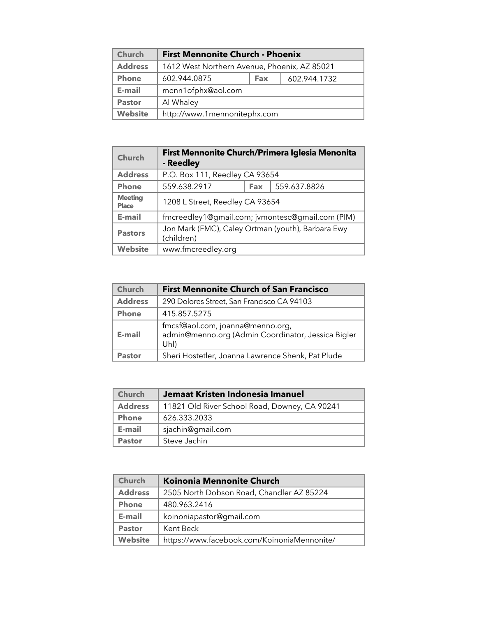| Church         | <b>First Mennonite Church - Phoenix</b>      |  |  |  |
|----------------|----------------------------------------------|--|--|--|
| <b>Address</b> | 1612 West Northern Avenue, Phoenix, AZ 85021 |  |  |  |
| <b>Phone</b>   | 602.944.0875<br>602.944.1732<br><b>Fax</b>   |  |  |  |
| E-mail         | menn1ofphx@aol.com                           |  |  |  |
| <b>Pastor</b>  | Al Whaley                                    |  |  |  |
| <b>Website</b> | http://www.1mennonitephx.com                 |  |  |  |

| <b>Church</b>                  | First Mennonite Church/Primera Iglesia Menonita<br>- Reedley    |  |  |
|--------------------------------|-----------------------------------------------------------------|--|--|
| <b>Address</b>                 | P.O. Box 111, Reedley CA 93654                                  |  |  |
| <b>Phone</b>                   | 559.638.2917<br>559.637.8826<br><b>Fax</b>                      |  |  |
| <b>Meeting</b><br><b>Place</b> | 1208 L Street, Reedley CA 93654                                 |  |  |
| E-mail                         | fmcreedley1@gmail.com; jvmontesc@gmail.com (PIM)                |  |  |
| <b>Pastors</b>                 | Jon Mark (FMC), Caley Ortman (youth), Barbara Ewy<br>(children) |  |  |
| <b>Website</b>                 | www.fmcreedley.org                                              |  |  |

| <b>Church</b>  | <b>First Mennonite Church of San Francisco</b>                                                 |  |
|----------------|------------------------------------------------------------------------------------------------|--|
| <b>Address</b> | 290 Dolores Street, San Francisco CA 94103                                                     |  |
| <b>Phone</b>   | 415.857.5275                                                                                   |  |
| E-mail         | fmcsf@aol.com, joanna@menno.org,<br>admin@menno.org (Admin Coordinator, Jessica Bigler<br>Uhl) |  |
| <b>Pastor</b>  | Sheri Hostetler, Joanna Lawrence Shenk, Pat Plude                                              |  |

| <b>Church</b>  | Jemaat Kristen Indonesia Imanuel              |  |
|----------------|-----------------------------------------------|--|
| <b>Address</b> | 11821 Old River School Road, Downey, CA 90241 |  |
| <b>Phone</b>   | 626.333.2033                                  |  |
| E-mail         | sjachin@gmail.com                             |  |
| <b>Pastor</b>  | Steve Jachin                                  |  |

| <b>Church</b>  | <b>Koinonia Mennonite Church</b>            |
|----------------|---------------------------------------------|
| <b>Address</b> | 2505 North Dobson Road, Chandler AZ 85224   |
| <b>Phone</b>   | 480.963.2416                                |
| E-mail         | koinoniapastor@gmail.com                    |
| <b>Pastor</b>  | Kent Beck                                   |
| <b>Website</b> | https://www.facebook.com/KoinoniaMennonite/ |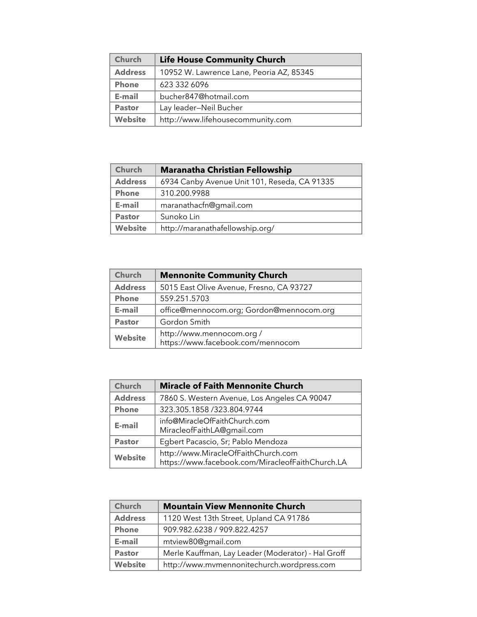| <b>Church</b>  | <b>Life House Community Church</b>       |
|----------------|------------------------------------------|
| <b>Address</b> | 10952 W. Lawrence Lane, Peoria AZ, 85345 |
| <b>Phone</b>   | 623 332 6096                             |
| E-mail         | bucher847@hotmail.com                    |
| <b>Pastor</b>  | Lay leader-Neil Bucher                   |
| <b>Website</b> | http://www.lifehousecommunity.com        |

| <b>Church</b>  | <b>Maranatha Christian Fellowship</b>        |
|----------------|----------------------------------------------|
| <b>Address</b> | 6934 Canby Avenue Unit 101, Reseda, CA 91335 |
| <b>Phone</b>   | 310.200.9988                                 |
| E-mail         | maranathacfn@gmail.com                       |
| <b>Pastor</b>  | Sunoko Lin                                   |
| <b>Website</b> | http://maranathafellowship.org/              |

| <b>Church</b>  | <b>Mennonite Community Church</b>                             |  |
|----------------|---------------------------------------------------------------|--|
| <b>Address</b> | 5015 East Olive Avenue, Fresno, CA 93727                      |  |
| <b>Phone</b>   | 559.251.5703                                                  |  |
| E-mail         | office@mennocom.org; Gordon@mennocom.org                      |  |
| <b>Pastor</b>  | Gordon Smith                                                  |  |
| <b>Website</b> | http://www.mennocom.org/<br>https://www.facebook.com/mennocom |  |

| <b>Church</b>  | <b>Miracle of Faith Mennonite Church</b>                                                |  |
|----------------|-----------------------------------------------------------------------------------------|--|
| <b>Address</b> | 7860 S. Western Avenue, Los Angeles CA 90047                                            |  |
| <b>Phone</b>   | 323.305.1858 / 323.804.9744                                                             |  |
| E-mail         | info@MiracleOfFaithChurch.com<br>MiracleofFaithLA@gmail.com                             |  |
| <b>Pastor</b>  | Egbert Pacascio, Sr; Pablo Mendoza                                                      |  |
| <b>Website</b> | http://www.MiracleOfFaithChurch.com<br>https://www.facebook.com/MiracleofFaithChurch.LA |  |

| <b>Church</b>  | <b>Mountain View Mennonite Church</b>              |
|----------------|----------------------------------------------------|
| <b>Address</b> | 1120 West 13th Street, Upland CA 91786             |
| <b>Phone</b>   | 909.982.6238 / 909.822.4257                        |
| E-mail         | mtview80@gmail.com                                 |
| <b>Pastor</b>  | Merle Kauffman, Lay Leader (Moderator) - Hal Groff |
| <b>Website</b> | http://www.mvmennonitechurch.wordpress.com         |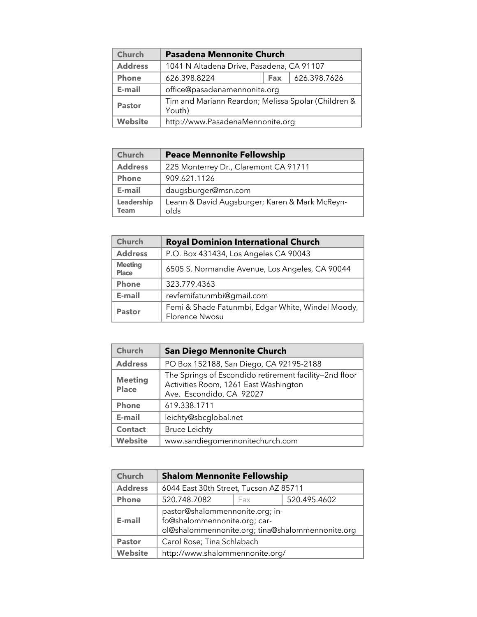| <b>Church</b>  | <b>Pasadena Mennonite Church</b>                              |            |              |
|----------------|---------------------------------------------------------------|------------|--------------|
| <b>Address</b> | 1041 N Altadena Drive, Pasadena, CA 91107                     |            |              |
| <b>Phone</b>   | 626.398.8224                                                  | <b>Fax</b> | 626.398.7626 |
| E-mail         | office@pasadenamennonite.org                                  |            |              |
| <b>Pastor</b>  | Tim and Mariann Reardon; Melissa Spolar (Children &<br>Youth) |            |              |
| <b>Website</b> | http://www.PasadenaMennonite.org                              |            |              |

| Church                    | <b>Peace Mennonite Fellowship</b>                      |
|---------------------------|--------------------------------------------------------|
| <b>Address</b>            | 225 Monterrey Dr., Claremont CA 91711                  |
| <b>Phone</b>              | 909.621.1126                                           |
| E-mail                    | daugsburger@msn.com                                    |
| Leadership<br><b>Team</b> | Leann & David Augsburger; Karen & Mark McReyn-<br>olds |

| <b>Church</b>                  | <b>Royal Dominion International Church</b>                                 |
|--------------------------------|----------------------------------------------------------------------------|
| <b>Address</b>                 | P.O. Box 431434, Los Angeles CA 90043                                      |
| <b>Meeting</b><br><b>Place</b> | 6505 S. Normandie Avenue, Los Angeles, CA 90044                            |
| <b>Phone</b>                   | 323.779.4363                                                               |
| E-mail                         | revfemifatunmbi@gmail.com                                                  |
| <b>Pastor</b>                  | Femi & Shade Fatunmbi, Edgar White, Windel Moody,<br><b>Florence Nwosu</b> |

| <b>Church</b>                  | <b>San Diego Mennonite Church</b>                                                                                           |
|--------------------------------|-----------------------------------------------------------------------------------------------------------------------------|
| <b>Address</b>                 | PO Box 152188, San Diego, CA 92195-2188                                                                                     |
| <b>Meeting</b><br><b>Place</b> | The Springs of Escondido retirement facility-2nd floor<br>Activities Room, 1261 East Washington<br>Ave. Escondido, CA 92027 |
| <b>Phone</b>                   | 619.338.1711                                                                                                                |
| E-mail                         | leichty@sbcglobal.net                                                                                                       |
| <b>Contact</b>                 | <b>Bruce Leichty</b>                                                                                                        |
| <b>Website</b>                 | www.sandiegomennonitechurch.com                                                                                             |

| <b>Church</b>  | <b>Shalom Mennonite Fellowship</b>                                                                                  |  |  |  |
|----------------|---------------------------------------------------------------------------------------------------------------------|--|--|--|
| <b>Address</b> | 6044 East 30th Street, Tucson AZ 85711                                                                              |  |  |  |
| <b>Phone</b>   | 520.495.4602<br>520.748.7082<br>Fax                                                                                 |  |  |  |
| E-mail         | pastor@shalommennonite.org; in-<br>fo@shalommennonite.org; car-<br>ol@shalommennonite.org; tina@shalommennonite.org |  |  |  |
| <b>Pastor</b>  | Carol Rose; Tina Schlabach                                                                                          |  |  |  |
| <b>Website</b> | http://www.shalommennonite.org/                                                                                     |  |  |  |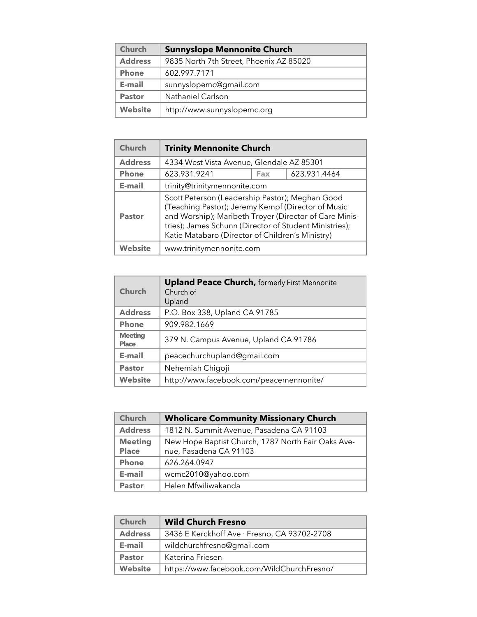| <b>Church</b>  | <b>Sunnyslope Mennonite Church</b>      |
|----------------|-----------------------------------------|
| <b>Address</b> | 9835 North 7th Street, Phoenix AZ 85020 |
| <b>Phone</b>   | 602.997.7171                            |
| E-mail         | sunnyslopemc@gmail.com                  |
| <b>Pastor</b>  | Nathaniel Carlson                       |
| <b>Website</b> | http://www.sunnyslopemc.org             |

| Church         | <b>Trinity Mennonite Church</b>                                                                                                                                                                                                                                               |  |  |  |
|----------------|-------------------------------------------------------------------------------------------------------------------------------------------------------------------------------------------------------------------------------------------------------------------------------|--|--|--|
| <b>Address</b> | 4334 West Vista Avenue, Glendale AZ 85301                                                                                                                                                                                                                                     |  |  |  |
| <b>Phone</b>   | 623.931.9241<br>623.931.4464<br>Fax                                                                                                                                                                                                                                           |  |  |  |
| E-mail         | trinity@trinitymennonite.com                                                                                                                                                                                                                                                  |  |  |  |
| <b>Pastor</b>  | Scott Peterson (Leadership Pastor); Meghan Good<br>(Teaching Pastor); Jeremy Kempf (Director of Music<br>and Worship); Maribeth Troyer (Director of Care Minis-<br>tries); James Schunn (Director of Student Ministries);<br>Katie Matabaro (Director of Children's Ministry) |  |  |  |
| <b>Website</b> | www.trinitymennonite.com                                                                                                                                                                                                                                                      |  |  |  |

| Church                         | <b>Upland Peace Church, formerly First Mennonite</b><br>Church of<br>Upland |
|--------------------------------|-----------------------------------------------------------------------------|
| <b>Address</b>                 | P.O. Box 338, Upland CA 91785                                               |
| <b>Phone</b>                   | 909.982.1669                                                                |
| <b>Meeting</b><br><b>Place</b> | 379 N. Campus Avenue, Upland CA 91786                                       |
| E-mail                         | peacechurchupland@gmail.com                                                 |
| <b>Pastor</b>                  | Nehemiah Chigoji                                                            |
| <b>Website</b>                 | http://www.facebook.com/peacemennonite/                                     |

| <b>Church</b>           | <b>Wholicare Community Missionary Church</b>                                 |
|-------------------------|------------------------------------------------------------------------------|
| <b>Address</b>          | 1812 N. Summit Avenue, Pasadena CA 91103                                     |
| <b>Meeting</b><br>Place | New Hope Baptist Church, 1787 North Fair Oaks Ave-<br>nue, Pasadena CA 91103 |
| <b>Phone</b>            | 626.264.0947                                                                 |
| E-mail                  | wcmc2010@yahoo.com                                                           |
| <b>Pastor</b>           | Helen Mfwiliwakanda                                                          |

| <b>Church</b>  | <b>Wild Church Fresno</b>                    |
|----------------|----------------------------------------------|
| <b>Address</b> | 3436 E Kerckhoff Ave · Fresno, CA 93702-2708 |
| E-mail         | wildchurchfresno@gmail.com                   |
| <b>Pastor</b>  | Katerina Friesen                             |
| <b>Website</b> | https://www.facebook.com/WildChurchFresno/   |